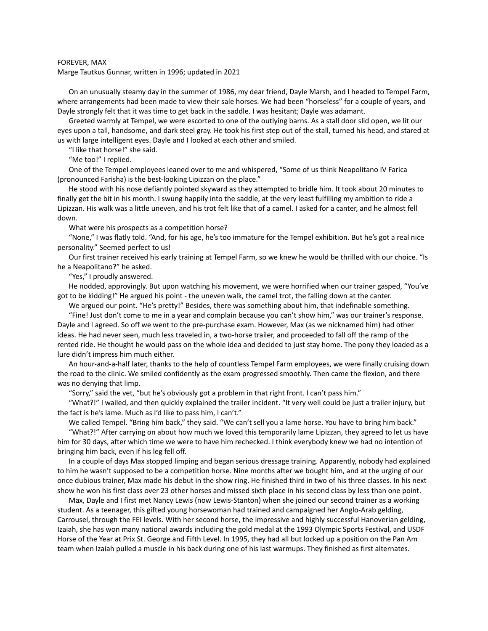## FOREVER, MAX

Marge Tautkus Gunnar, written in 1996; updated in 2021

On an unusually steamy day in the summer of 1986, my dear friend, Dayle Marsh, and I headed to Tempel Farm, where arrangements had been made to view their sale horses. We had been "horseless" for a couple of years, and Dayle strongly felt that it was time to get back in the saddle. I was hesitant; Dayle was adamant.

Greeted warmly at Tempel, we were escorted to one of the outlying barns. As a stall door slid open, we lit our eyes upon a tall, handsome, and dark steel gray. He took his first step out of the stall, turned his head, and stared at us with large intelligent eyes. Dayle and I looked at each other and smiled.

"I like that horse!" she said.

"Me too!" I replied.

One of the Tempel employees leaned over to me and whispered, "Some of us think Neapolitano IV Farica (pronounced Farisha) is the best-looking Lipizzan on the place."

He stood with his nose defiantly pointed skyward as they attempted to bridle him. It took about 20 minutes to finally get the bit in his month. I swung happily into the saddle, at the very least fulfilling my ambition to ride a Lipizzan. His walk was a little uneven, and his trot felt like that of a camel. I asked for a canter, and he almost fell down.

What were his prospects as a competition horse?

"None," I was flatly told. "And, for his age, he's too immature for the Tempel exhibition. But he's got a real nice personality." Seemed perfect to us!

Our first trainer received his early training at Tempel Farm, so we knew he would be thrilled with our choice. "Is he a Neapolitano?" he asked.

"Yes," I proudly answered.

He nodded, approvingly. But upon watching his movement, we were horrified when our trainer gasped, "You've got to be kidding!" He argued his point - the uneven walk, the camel trot, the falling down at the canter.

We argued our point. "He's pretty!" Besides, there was something about him, that indefinable something.

"Fine! Just don't come to me in a year and complain because you can't show him," was our trainer's response. Dayle and I agreed. So off we went to the pre-purchase exam. However, Max (as we nicknamed him) had other ideas. He had never seen, much less traveled in, a two-horse trailer, and proceeded to fall off the ramp of the rented ride. He thought he would pass on the whole idea and decided to just stay home. The pony they loaded as a lure didn't impress him much either.

An hour-and-a-half later, thanks to the help of countless Tempel Farm employees, we were finally cruising down the road to the clinic. We smiled confidently as the exam progressed smoothly. Then came the flexion, and there was no denying that limp.

"Sorry," said the vet, "but he's obviously got a problem in that right front. I can't pass him."

"What?!" I wailed, and then quickly explained the trailer incident. "It very well could be just a trailer injury, but the fact is he's lame. Much as I'd like to pass him, I can't."

We called Tempel. "Bring him back," they said. "We can't sell you a lame horse. You have to bring him back."

"What?!" After carrying on about how much we loved this temporarily lame Lipizzan, they agreed to let us have him for 30 days, after which time we were to have him rechecked. I think everybody knew we had no intention of bringing him back, even if his leg fell off.

In a couple of days Max stopped limping and began serious dressage training. Apparently, nobody had explained to him he wasn't supposed to be a competition horse. Nine months after we bought him, and at the urging of our once dubious trainer, Max made his debut in the show ring. He finished third in two of his three classes. In his next show he won his first class over 23 other horses and missed sixth place in his second class by less than one point.

Max, Dayle and I first met Nancy Lewis (now Lewis-Stanton) when she joined our second trainer as a working student. As a teenager, this gifted young horsewoman had trained and campaigned her Anglo-Arab gelding, Carrousel, through the FEI levels. With her second horse, the impressive and highly successful Hanoverian gelding, Izaiah, she has won many national awards including the gold medal at the 1993 Olympic Sports Festival, and USDF Horse of the Year at Prix St. George and Fifth Level. In 1995, they had all but locked up a position on the Pan Am team when Izaiah pulled a muscle in his back during one of his last warmups. They finished as first alternates.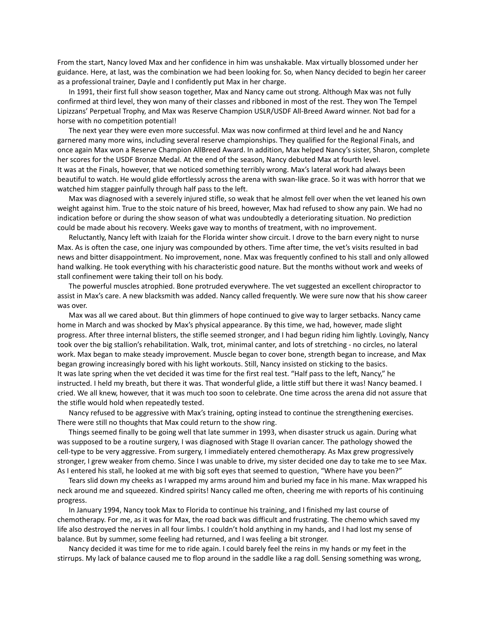From the start, Nancy loved Max and her confidence in him was unshakable. Max virtually blossomed under her guidance. Here, at last, was the combination we had been looking for. So, when Nancy decided to begin her career as a professional trainer, Dayle and I confidently put Max in her charge.

In 1991, their first full show season together, Max and Nancy came out strong. Although Max was not fully confirmed at third level, they won many of their classes and ribboned in most of the rest. They won The Tempel Lipizzans' Perpetual Trophy, and Max was Reserve Champion USLR/USDF All-Breed Award winner. Not bad for a horse with no competition potential!

The next year they were even more successful. Max was now confirmed at third level and he and Nancy garnered many more wins, including several reserve championships. They qualified for the Regional Finals, and once again Max won a Reserve Champion AllBreed Award. In addition, Max helped Nancy's sister, Sharon, complete her scores for the USDF Bronze Medal. At the end of the season, Nancy debuted Max at fourth level. It was at the Finals, however, that we noticed something terribly wrong. Max's lateral work had always been beautiful to watch. He would glide effortlessly across the arena with swan-like grace. So it was with horror that we watched him stagger painfully through half pass to the left.

Max was diagnosed with a severely injured stifle, so weak that he almost fell over when the vet leaned his own weight against him. True to the stoic nature of his breed, however, Max had refused to show any pain. We had no indication before or during the show season of what was undoubtedly a deteriorating situation. No prediction could be made about his recovery. Weeks gave way to months of treatment, with no improvement.

Reluctantly, Nancy left with Izaiah for the Florida winter show circuit. I drove to the barn every night to nurse Max. As is often the case, one injury was compounded by others. Time after time, the vet's visits resulted in bad news and bitter disappointment. No improvement, none. Max was frequently confined to his stall and only allowed hand walking. He took everything with his characteristic good nature. But the months without work and weeks of stall confinement were taking their toll on his body.

The powerful muscles atrophied. Bone protruded everywhere. The vet suggested an excellent chiropractor to assist in Max's care. A new blacksmith was added. Nancy called frequently. We were sure now that his show career was over.

Max was all we cared about. But thin glimmers of hope continued to give way to larger setbacks. Nancy came home in March and was shocked by Max's physical appearance. By this time, we had, however, made slight progress. After three internal blisters, the stifle seemed stronger, and I had begun riding him lightly. Lovingly, Nancy took over the big stallion's rehabilitation. Walk, trot, minimal canter, and lots of stretching - no circles, no lateral work. Max began to make steady improvement. Muscle began to cover bone, strength began to increase, and Max began growing increasingly bored with his light workouts. Still, Nancy insisted on sticking to the basics. It was late spring when the vet decided it was time for the first real test. "Half pass to the left, Nancy," he instructed. I held my breath, but there it was. That wonderful glide, a little stiff but there it was! Nancy beamed. I cried. We all knew, however, that it was much too soon to celebrate. One time across the arena did not assure that the stifle would hold when repeatedly tested.

Nancy refused to be aggressive with Max's training, opting instead to continue the strengthening exercises. There were still no thoughts that Max could return to the show ring.

Things seemed finally to be going well that late summer in 1993, when disaster struck us again. During what was supposed to be a routine surgery, I was diagnosed with Stage II ovarian cancer. The pathology showed the cell-type to be very aggressive. From surgery, I immediately entered chemotherapy. As Max grew progressively stronger, I grew weaker from chemo. Since I was unable to drive, my sister decided one day to take me to see Max. As I entered his stall, he looked at me with big soft eyes that seemed to question, "Where have you been?"

Tears slid down my cheeks as I wrapped my arms around him and buried my face in his mane. Max wrapped his neck around me and squeezed. Kindred spirits! Nancy called me often, cheering me with reports of his continuing progress.

In January 1994, Nancy took Max to Florida to continue his training, and I finished my last course of chemotherapy. For me, as it was for Max, the road back was difficult and frustrating. The chemo which saved my life also destroyed the nerves in all four limbs. I couldn't hold anything in my hands, and I had lost my sense of balance. But by summer, some feeling had returned, and I was feeling a bit stronger.

Nancy decided it was time for me to ride again. I could barely feel the reins in my hands or my feet in the stirrups. My lack of balance caused me to flop around in the saddle like a rag doll. Sensing something was wrong,